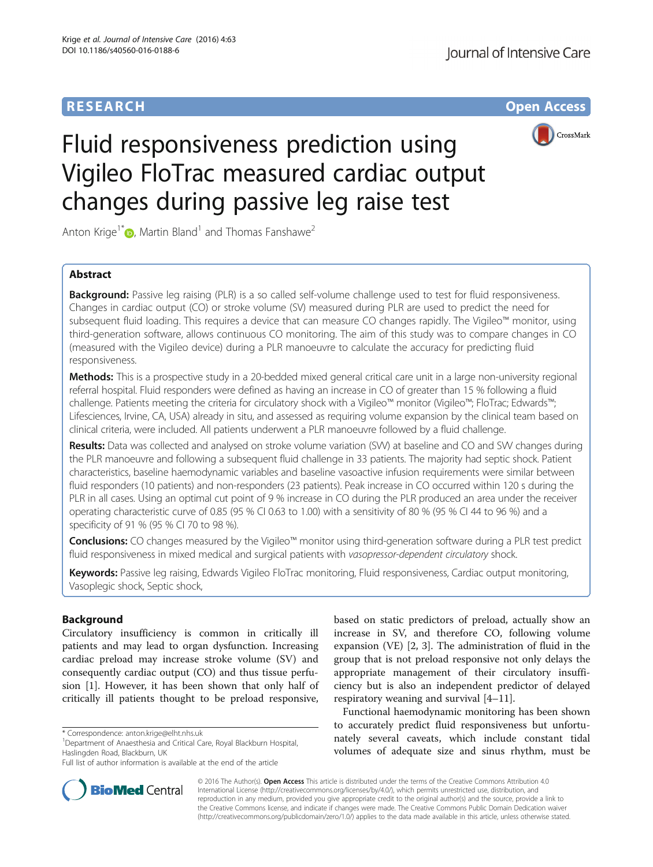# **RESEARCH CHE Open Access**



# Fluid responsiveness prediction using Vigileo FloTrac measured cardiac output changes during passive leg raise test

Anton Krige<sup>1[\\*](http://orcid.org/0000-0002-3415-4281)</sup>  $\bullet$ , Martin Bland<sup>1</sup> and Thomas Fanshawe<sup>2</sup>

# Abstract

Background: Passive leg raising (PLR) is a so called self-volume challenge used to test for fluid responsiveness. Changes in cardiac output (CO) or stroke volume (SV) measured during PLR are used to predict the need for subsequent fluid loading. This requires a device that can measure CO changes rapidly. The Vigileo™ monitor, using third-generation software, allows continuous CO monitoring. The aim of this study was to compare changes in CO (measured with the Vigileo device) during a PLR manoeuvre to calculate the accuracy for predicting fluid responsiveness.

Methods: This is a prospective study in a 20-bedded mixed general critical care unit in a large non-university regional referral hospital. Fluid responders were defined as having an increase in CO of greater than 15 % following a fluid challenge. Patients meeting the criteria for circulatory shock with a Vigileo™ monitor (Vigileo™; FloTrac; Edwards™; Lifesciences, Irvine, CA, USA) already in situ, and assessed as requiring volume expansion by the clinical team based on clinical criteria, were included. All patients underwent a PLR manoeuvre followed by a fluid challenge.

Results: Data was collected and analysed on stroke volume variation (SVV) at baseline and CO and SVV changes during the PLR manoeuvre and following a subsequent fluid challenge in 33 patients. The majority had septic shock. Patient characteristics, baseline haemodynamic variables and baseline vasoactive infusion requirements were similar between fluid responders (10 patients) and non-responders (23 patients). Peak increase in CO occurred within 120 s during the PLR in all cases. Using an optimal cut point of 9 % increase in CO during the PLR produced an area under the receiver operating characteristic curve of 0.85 (95 % CI 0.63 to 1.00) with a sensitivity of 80 % (95 % CI 44 to 96 %) and a specificity of 91 % (95 % CI 70 to 98 %).

Conclusions: CO changes measured by the Vigileo™ monitor using third-generation software during a PLR test predict fluid responsiveness in mixed medical and surgical patients with vasopressor-dependent circulatory shock.

Keywords: Passive leg raising, Edwards Vigileo FloTrac monitoring, Fluid responsiveness, Cardiac output monitoring, Vasoplegic shock, Septic shock,

# Background

Circulatory insufficiency is common in critically ill patients and may lead to organ dysfunction. Increasing cardiac preload may increase stroke volume (SV) and consequently cardiac output (CO) and thus tissue perfusion [\[1](#page-6-0)]. However, it has been shown that only half of critically ill patients thought to be preload responsive,

<sup>1</sup>Department of Anaesthesia and Critical Care, Royal Blackburn Hospital, Haslingden Road, Blackburn, UK



Functional haemodynamic monitoring has been shown to accurately predict fluid responsiveness but unfortunately several caveats, which include constant tidal volumes of adequate size and sinus rhythm, must be



© 2016 The Author(s). Open Access This article is distributed under the terms of the Creative Commons Attribution 4.0 International License [\(http://creativecommons.org/licenses/by/4.0/](http://creativecommons.org/licenses/by/4.0/)), which permits unrestricted use, distribution, and reproduction in any medium, provided you give appropriate credit to the original author(s) and the source, provide a link to the Creative Commons license, and indicate if changes were made. The Creative Commons Public Domain Dedication waiver [\(http://creativecommons.org/publicdomain/zero/1.0/](http://creativecommons.org/publicdomain/zero/1.0/)) applies to the data made available in this article, unless otherwise stated.

<sup>\*</sup> Correspondence: [anton.krige@elht.nhs.uk](mailto:anton.krige@elht.nhs.uk) <sup>1</sup>

Full list of author information is available at the end of the article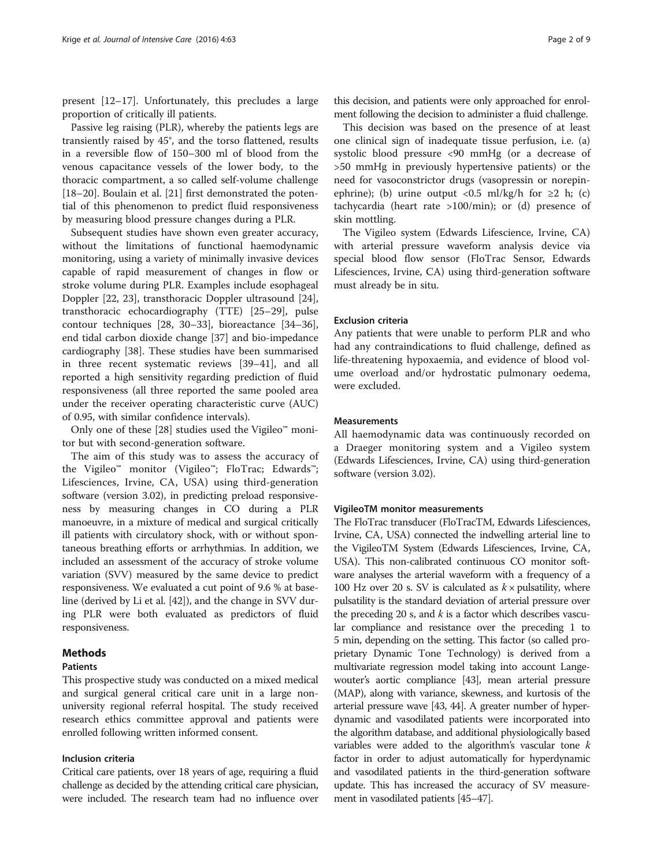present [\[12](#page-7-0)–[17\]](#page-7-0). Unfortunately, this precludes a large proportion of critically ill patients.

Passive leg raising (PLR), whereby the patients legs are transiently raised by 45°, and the torso flattened, results in a reversible flow of 150–300 ml of blood from the venous capacitance vessels of the lower body, to the thoracic compartment, a so called self-volume challenge [[18](#page-7-0)–[20](#page-7-0)]. Boulain et al. [[21\]](#page-7-0) first demonstrated the potential of this phenomenon to predict fluid responsiveness by measuring blood pressure changes during a PLR.

Subsequent studies have shown even greater accuracy, without the limitations of functional haemodynamic monitoring, using a variety of minimally invasive devices capable of rapid measurement of changes in flow or stroke volume during PLR. Examples include esophageal Doppler [[22, 23\]](#page-7-0), transthoracic Doppler ultrasound [\[24](#page-7-0)], transthoracic echocardiography (TTE) [[25](#page-7-0)–[29](#page-7-0)], pulse contour techniques [[28](#page-7-0), [30](#page-7-0)–[33](#page-7-0)], bioreactance [[34](#page-7-0)–[36](#page-7-0)], end tidal carbon dioxide change [[37](#page-7-0)] and bio-impedance cardiography [[38\]](#page-7-0). These studies have been summarised in three recent systematic reviews [\[39](#page-7-0)–[41\]](#page-7-0), and all reported a high sensitivity regarding prediction of fluid responsiveness (all three reported the same pooled area under the receiver operating characteristic curve (AUC) of 0.95, with similar confidence intervals).

Only one of these [\[28](#page-7-0)] studies used the Vigileo™ monitor but with second-generation software.

The aim of this study was to assess the accuracy of the Vigileo™ monitor (Vigileo™; FloTrac; Edwards™; Lifesciences, Irvine, CA, USA) using third-generation software (version 3.02), in predicting preload responsiveness by measuring changes in CO during a PLR manoeuvre, in a mixture of medical and surgical critically ill patients with circulatory shock, with or without spontaneous breathing efforts or arrhythmias. In addition, we included an assessment of the accuracy of stroke volume variation (SVV) measured by the same device to predict responsiveness. We evaluated a cut point of 9.6 % at baseline (derived by Li et al. [[42\]](#page-7-0)), and the change in SVV during PLR were both evaluated as predictors of fluid responsiveness.

## Methods

# Patients

This prospective study was conducted on a mixed medical and surgical general critical care unit in a large nonuniversity regional referral hospital. The study received research ethics committee approval and patients were enrolled following written informed consent.

## Inclusion criteria

Critical care patients, over 18 years of age, requiring a fluid challenge as decided by the attending critical care physician, were included. The research team had no influence over this decision, and patients were only approached for enrolment following the decision to administer a fluid challenge.

This decision was based on the presence of at least one clinical sign of inadequate tissue perfusion, i.e. (a) systolic blood pressure <90 mmHg (or a decrease of >50 mmHg in previously hypertensive patients) or the need for vasoconstrictor drugs (vasopressin or norepinephrine); (b) urine output <0.5 ml/kg/h for  $\geq 2$  h; (c) tachycardia (heart rate >100/min); or (d) presence of skin mottling.

The Vigileo system (Edwards Lifescience, Irvine, CA) with arterial pressure waveform analysis device via special blood flow sensor (FloTrac Sensor, Edwards Lifesciences, Irvine, CA) using third-generation software must already be in situ.

#### Exclusion criteria

Any patients that were unable to perform PLR and who had any contraindications to fluid challenge, defined as life-threatening hypoxaemia, and evidence of blood volume overload and/or hydrostatic pulmonary oedema, were excluded.

## **Measurements**

All haemodynamic data was continuously recorded on a Draeger monitoring system and a Vigileo system (Edwards Lifesciences, Irvine, CA) using third-generation software (version 3.02).

#### VigileoTM monitor measurements

The FloTrac transducer (FloTracTM, Edwards Lifesciences, Irvine, CA, USA) connected the indwelling arterial line to the VigileoTM System (Edwards Lifesciences, Irvine, CA, USA). This non-calibrated continuous CO monitor software analyses the arterial waveform with a frequency of a 100 Hz over 20 s. SV is calculated as  $k \times$  pulsatility, where pulsatility is the standard deviation of arterial pressure over the preceding 20 s, and  $k$  is a factor which describes vascular compliance and resistance over the preceding 1 to 5 min, depending on the setting. This factor (so called proprietary Dynamic Tone Technology) is derived from a multivariate regression model taking into account Langewouter's aortic compliance [[43](#page-7-0)], mean arterial pressure (MAP), along with variance, skewness, and kurtosis of the arterial pressure wave [\[43, 44](#page-7-0)]. A greater number of hyperdynamic and vasodilated patients were incorporated into the algorithm database, and additional physiologically based variables were added to the algorithm's vascular tone  $k$ factor in order to adjust automatically for hyperdynamic and vasodilated patients in the third-generation software update. This has increased the accuracy of SV measurement in vasodilated patients [\[45](#page-7-0)–[47\]](#page-7-0).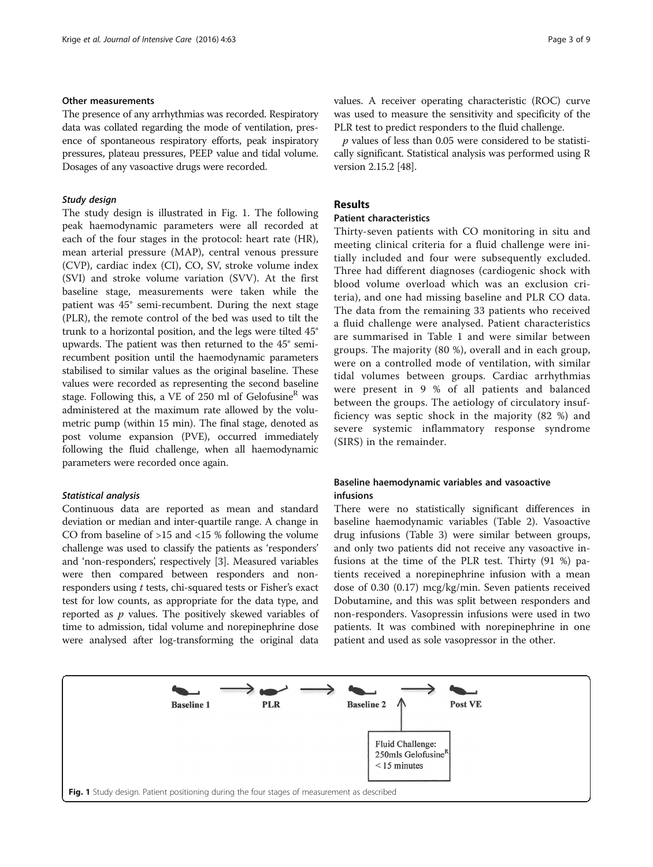# Other measurements

The presence of any arrhythmias was recorded. Respiratory data was collated regarding the mode of ventilation, presence of spontaneous respiratory efforts, peak inspiratory pressures, plateau pressures, PEEP value and tidal volume. Dosages of any vasoactive drugs were recorded.

## Study design

The study design is illustrated in Fig. 1. The following peak haemodynamic parameters were all recorded at each of the four stages in the protocol: heart rate (HR), mean arterial pressure (MAP), central venous pressure (CVP), cardiac index (CI), CO, SV, stroke volume index (SVI) and stroke volume variation (SVV). At the first baseline stage, measurements were taken while the patient was 45° semi-recumbent. During the next stage (PLR), the remote control of the bed was used to tilt the trunk to a horizontal position, and the legs were tilted 45° upwards. The patient was then returned to the 45° semirecumbent position until the haemodynamic parameters stabilised to similar values as the original baseline. These values were recorded as representing the second baseline stage. Following this, a VE of 250 ml of Gelofusine<sup>R</sup> was administered at the maximum rate allowed by the volumetric pump (within 15 min). The final stage, denoted as post volume expansion (PVE), occurred immediately following the fluid challenge, when all haemodynamic parameters were recorded once again.

### Statistical analysis

Continuous data are reported as mean and standard deviation or median and inter-quartile range. A change in CO from baseline of >15 and <15 % following the volume challenge was used to classify the patients as 'responders' and 'non-responders', respectively [[3\]](#page-6-0). Measured variables were then compared between responders and nonresponders using t tests, chi-squared tests or Fisher's exact test for low counts, as appropriate for the data type, and reported as  $p$  values. The positively skewed variables of time to admission, tidal volume and norepinephrine dose were analysed after log-transforming the original data values. A receiver operating characteristic (ROC) curve was used to measure the sensitivity and specificity of the PLR test to predict responders to the fluid challenge.

 $p$  values of less than 0.05 were considered to be statistically significant. Statistical analysis was performed using R version 2.15.2 [\[48\]](#page-7-0).

# Results

#### Patient characteristics

Thirty-seven patients with CO monitoring in situ and meeting clinical criteria for a fluid challenge were initially included and four were subsequently excluded. Three had different diagnoses (cardiogenic shock with blood volume overload which was an exclusion criteria), and one had missing baseline and PLR CO data. The data from the remaining 33 patients who received a fluid challenge were analysed. Patient characteristics are summarised in Table [1](#page-3-0) and were similar between groups. The majority (80 %), overall and in each group, were on a controlled mode of ventilation, with similar tidal volumes between groups. Cardiac arrhythmias were present in 9 % of all patients and balanced between the groups. The aetiology of circulatory insufficiency was septic shock in the majority (82 %) and severe systemic inflammatory response syndrome (SIRS) in the remainder.

# Baseline haemodynamic variables and vasoactive infusions

There were no statistically significant differences in baseline haemodynamic variables (Table [2](#page-4-0)). Vasoactive drug infusions (Table [3](#page-4-0)) were similar between groups, and only two patients did not receive any vasoactive infusions at the time of the PLR test. Thirty (91 %) patients received a norepinephrine infusion with a mean dose of 0.30 (0.17) mcg/kg/min. Seven patients received Dobutamine, and this was split between responders and non-responders. Vasopressin infusions were used in two patients. It was combined with norepinephrine in one patient and used as sole vasopressor in the other.

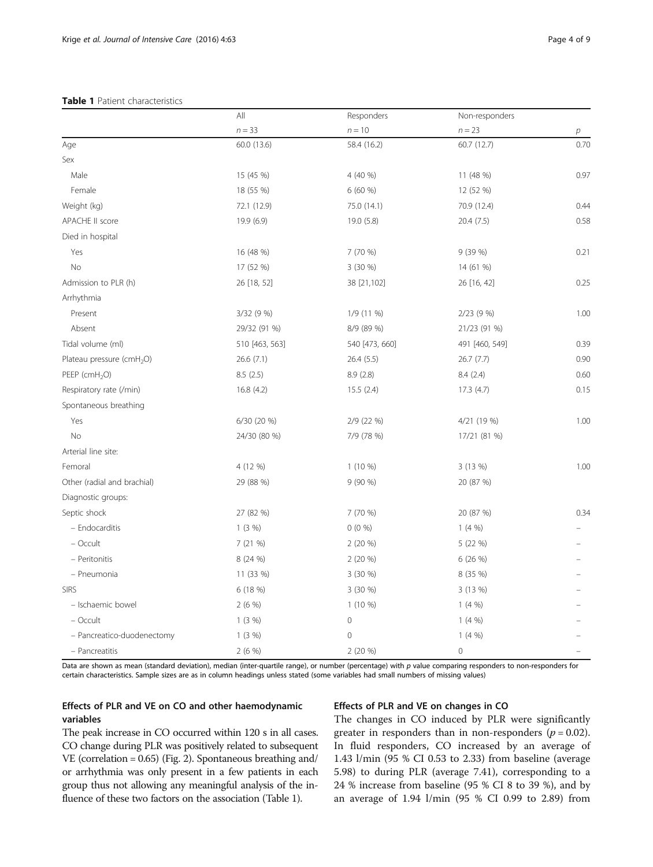#### <span id="page-3-0"></span>Table 1 Patient characteristics

|                                       | All<br>$n = 33$ | Responders<br>$n = 10$ | Non-responders<br>$n = 23$ |      |
|---------------------------------------|-----------------|------------------------|----------------------------|------|
|                                       |                 |                        |                            | p    |
| Age                                   | 60.0 (13.6)     | 58.4 (16.2)            | 60.7 (12.7)                | 0.70 |
| Sex                                   |                 |                        |                            |      |
| Male                                  | 15 (45 %)       | 4 (40 %)               | 11 (48 %)                  | 0.97 |
| Female                                | 18 (55 %)       | 6 (60 %)               | 12 (52 %)                  |      |
| Weight (kg)                           | 72.1 (12.9)     | 75.0 (14.1)            | 70.9 (12.4)                | 0.44 |
| <b>APACHE II score</b>                | 19.9 (6.9)      | 19.0 (5.8)             | 20.4(7.5)                  | 0.58 |
| Died in hospital                      |                 |                        |                            |      |
| Yes                                   | 16 (48 %)       | 7 (70 %)               | 9 (39 %)                   | 0.21 |
| No                                    | 17 (52 %)       | 3 (30 %)               | 14 (61 %)                  |      |
| Admission to PLR (h)                  | 26 [18, 52]     | 38 [21,102]            | 26 [16, 42]                | 0.25 |
| Arrhythmia                            |                 |                        |                            |      |
| Present                               | 3/32 (9 %)      | 1/9 (11 %)             | 2/23(9%)                   | 1.00 |
| Absent                                | 29/32 (91 %)    | 8/9 (89 %)             | 21/23 (91 %)               |      |
| Tidal volume (ml)                     | 510 [463, 563]  | 540 [473, 660]         | 491 [460, 549]             | 0.39 |
| Plateau pressure (cmH <sub>2</sub> O) | 26.6 (7.1)      | 26.4(5.5)              | 26.7(7.7)                  | 0.90 |
| PEEP (cmH <sub>2</sub> O)             | 8.5(2.5)        | 8.9(2.8)               | 8.4(2.4)                   | 0.60 |
| Respiratory rate (/min)               | 16.8 (4.2)      | 15.5(2.4)              | 17.3(4.7)                  | 0.15 |
| Spontaneous breathing                 |                 |                        |                            |      |
| Yes                                   | 6/30 (20 %)     | 2/9 (22 %)             | 4/21 (19 %)                | 1.00 |
| No                                    | 24/30 (80 %)    | 7/9 (78 %)             | 17/21 (81 %)               |      |
| Arterial line site:                   |                 |                        |                            |      |
| Femoral                               | 4 (12 %)        | $1(10\%)$              | 3 (13 %)                   | 1.00 |
| Other (radial and brachial)           | 29 (88 %)       | 9(90%                  | 20 (87 %)                  |      |
| Diagnostic groups:                    |                 |                        |                            |      |
| Septic shock                          | 27 (82 %)       | 7 (70 %)               | 20 (87 %)                  | 0.34 |
| - Endocarditis                        | 1(3%)           | $0(0\%)$               | 1(4%                       |      |
| - Occult                              | 7 (21 %)        | $2(20\%)$              | 5 (22 %)                   |      |
| - Peritonitis                         | 8 (24 %)        | $2(20\%)$              | 6 (26 %)                   |      |
| - Pneumonia                           | 11 (33 %)       | 3 (30 %)               | 8 (35 %)                   |      |
| <b>SIRS</b>                           | 6 (18 %)        | 3(30%)                 | 3 (13 %)                   |      |
| - Ischaemic bowel                     | 2(6%)           | $1(10\%)$              | 1(4%                       |      |
| - Occult                              | 1(3%)           | $\mathbf 0$            | 1(4%                       |      |
| - Pancreatico-duodenectomy            | 1(3%)           | $\mathbf 0$            | 1(4%                       |      |
| - Pancreatitis                        | 2(6%)           | 2(20%                  | $\mathbb O$                |      |

Data are shown as mean (standard deviation), median (inter-quartile range), or number (percentage) with p value comparing responders to non-responders for certain characteristics. Sample sizes are as in column headings unless stated (some variables had small numbers of missing values)

# Effects of PLR and VE on CO and other haemodynamic variables

### Effects of PLR and VE on changes in CO

The peak increase in CO occurred within 120 s in all cases. CO change during PLR was positively related to subsequent VE (correlation = 0.65) (Fig. [2\)](#page-4-0). Spontaneous breathing and/ or arrhythmia was only present in a few patients in each group thus not allowing any meaningful analysis of the influence of these two factors on the association (Table 1).

The changes in CO induced by PLR were significantly greater in responders than in non-responders ( $p = 0.02$ ). In fluid responders, CO increased by an average of 1.43 l/min (95 % CI 0.53 to 2.33) from baseline (average 5.98) to during PLR (average 7.41), corresponding to a 24 % increase from baseline (95 % CI 8 to 39 %), and by an average of 1.94 l/min (95 % CI 0.99 to 2.89) from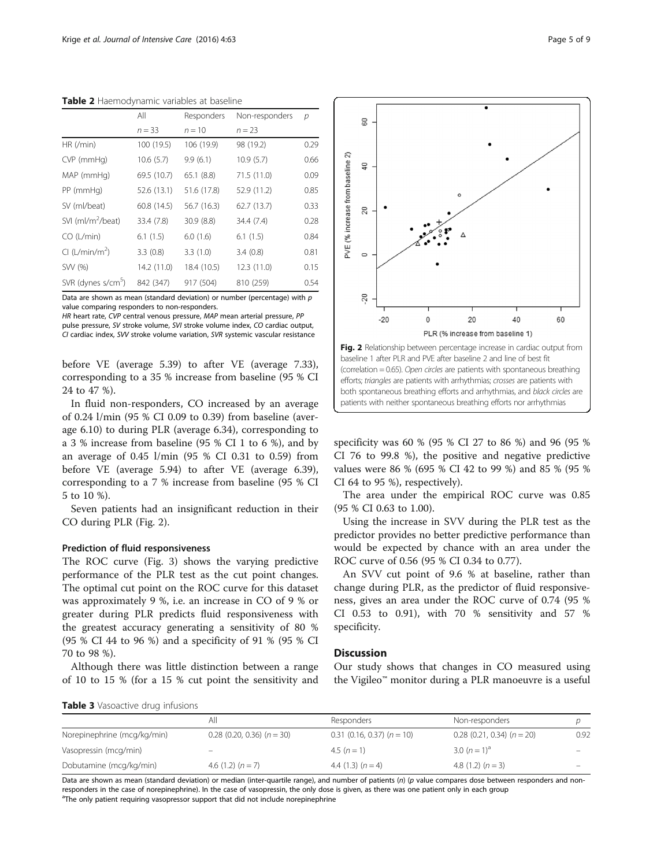|                                | All         | Responders  | Non-responders | р    |
|--------------------------------|-------------|-------------|----------------|------|
|                                | $n = 33$    | $n = 10$    | $n = 23$       |      |
| HR (/min)                      | 100 (19.5)  | 106 (19.9)  | 98 (19.2)      | 0.29 |
| CVP (mmHg)                     | 10.6(5.7)   | 9.9(6.1)    | 10.9(5.7)      | 0.66 |
| MAP (mmHq)                     | 69.5 (10.7) | 65.1(8.8)   | 71.5 (11.0)    | 0.09 |
| PP (mmHg)                      | 52.6 (13.1) | 51.6 (17.8) | 52.9 (11.2)    | 0.85 |
| SV (ml/beat)                   | 60.8 (14.5) | 56.7 (16.3) | 62.7(13.7)     | 0.33 |
| SVI (ml/m <sup>2</sup> /beat)  | 33.4 (7.8)  | 30.9(8.8)   | 34.4 (7.4)     | 0.28 |
| CO (L/min)                     | 6.1(1.5)    | 6.0(1.6)    | 6.1(1.5)       | 0.84 |
| Cl (L/min/m <sup>2</sup> )     | 3.3(0.8)    | 3.3(1.0)    | 3.4(0.8)       | 0.81 |
| SW (%)                         | 14.2 (11.0) | 18.4 (10.5) | 12.3 (11.0)    | 0.15 |
| SVR (dynes s/cm <sup>3</sup> ) | 842 (347)   | 917 (504)   | 810 (259)      | 0.54 |

<span id="page-4-0"></span>Table 2 Haemodynamic variables at baseline

Data are shown as mean (standard deviation) or number (percentage) with  $p$ value comparing responders to non-responders.

HR heart rate, CVP central venous pressure, MAP mean arterial pressure, PP

pulse pressure, SV stroke volume, SVI stroke volume index, CO cardiac output, CI cardiac index, SVV stroke volume variation, SVR systemic vascular resistance

before VE (average 5.39) to after VE (average 7.33), corresponding to a 35 % increase from baseline (95 % CI 24 to 47 %).

In fluid non-responders, CO increased by an average of 0.24 l/min (95 % CI 0.09 to 0.39) from baseline (average 6.10) to during PLR (average 6.34), corresponding to a 3 % increase from baseline (95 % CI 1 to 6 %), and by an average of 0.45 l/min (95 % CI 0.31 to 0.59) from before VE (average 5.94) to after VE (average 6.39), corresponding to a 7 % increase from baseline (95 % CI 5 to 10 %).

Seven patients had an insignificant reduction in their CO during PLR (Fig. 2).

#### Prediction of fluid responsiveness

The ROC curve (Fig. [3](#page-5-0)) shows the varying predictive performance of the PLR test as the cut point changes. The optimal cut point on the ROC curve for this dataset was approximately 9 %, i.e. an increase in CO of 9 % or greater during PLR predicts fluid responsiveness with the greatest accuracy generating a sensitivity of 80 % (95 % CI 44 to 96 %) and a specificity of 91 % (95 % CI 70 to 98 %).

Although there was little distinction between a range of 10 to 15 % (for a 15 % cut point the sensitivity and



specificity was 60 % (95 % CI 27 to 86 %) and 96 (95 % CI 76 to 99.8 %), the positive and negative predictive values were 86 % (695 % CI 42 to 99 %) and 85 % (95 % CI 64 to 95 %), respectively).

The area under the empirical ROC curve was 0.85 (95 % CI 0.63 to 1.00).

Using the increase in SVV during the PLR test as the predictor provides no better predictive performance than would be expected by chance with an area under the ROC curve of 0.56 (95 % CI 0.34 to 0.77).

An SVV cut point of 9.6 % at baseline, rather than change during PLR, as the predictor of fluid responsiveness, gives an area under the ROC curve of 0.74 (95 % CI 0.53 to 0.91), with 70 % sensitivity and 57 % specificity.

# **Discussion**

Our study shows that changes in CO measured using the Vigileo™ monitor during a PLR manoeuvre is a useful

Table 3 Vasoactive drug infusions

|                             | All                              | Responders                       | Non-responders                   |      |  |  |  |
|-----------------------------|----------------------------------|----------------------------------|----------------------------------|------|--|--|--|
| Norepinephrine (mcg/kg/min) | $0.28$ (0.20, 0.36) ( $n = 30$ ) | $0.31$ (0.16, 0.37) ( $n = 10$ ) | $0.28$ (0.21, 0.34) ( $n = 20$ ) | 0.92 |  |  |  |
| Vasopressin (mcg/min)       |                                  | 4.5 $(n = 1)$                    | 3.0 $(n=1)^a$                    |      |  |  |  |
| Dobutamine (mcg/kg/min)     | 4.6 $(1.2)$ $(n = 7)$            | 4.4 $(1.3)$ $(n = 4)$            | 4.8 $(1.2)$ $(n = 3)$            |      |  |  |  |

Data are shown as mean (standard deviation) or median (inter-quartile range), and number of patients (n) (p value compares dose between responders and nonresponders in the case of norepinephrine). In the case of vasopressin, the only dose is given, as there was one patient only in each group <sup>a</sup>The only patient requiring vasopressor support that did not include norepinephrine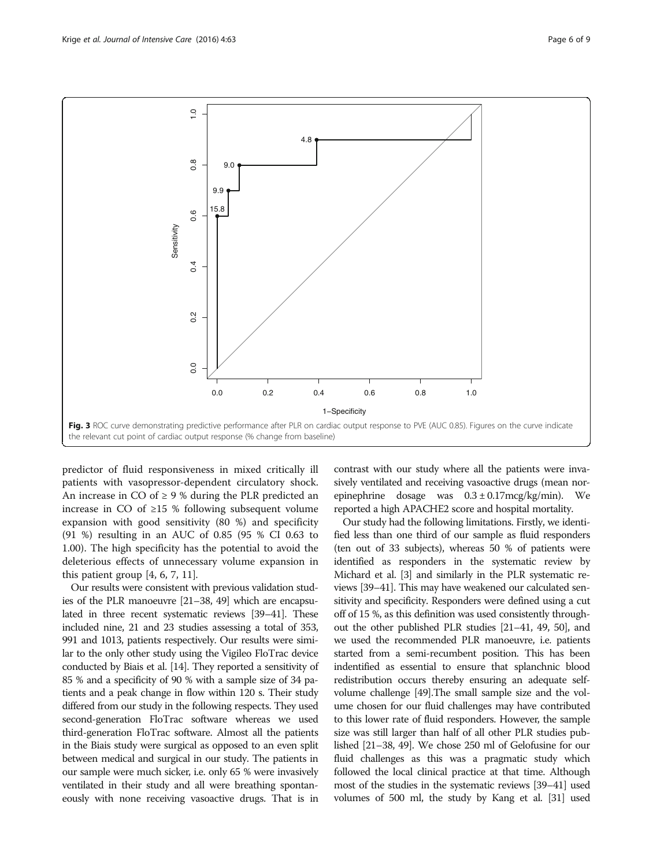<span id="page-5-0"></span>

predictor of fluid responsiveness in mixed critically ill patients with vasopressor-dependent circulatory shock. An increase in CO of  $\geq$  9 % during the PLR predicted an increase in CO of  $\geq$ 15 % following subsequent volume expansion with good sensitivity (80 %) and specificity (91 %) resulting in an AUC of 0.85 (95 % CI 0.63 to 1.00). The high specificity has the potential to avoid the deleterious effects of unnecessary volume expansion in this patient group  $[4, 6, 7, 11]$  $[4, 6, 7, 11]$ .

Our results were consistent with previous validation studies of the PLR manoeuvre [\[21](#page-7-0)–[38, 49\]](#page-7-0) which are encapsulated in three recent systematic reviews [\[39](#page-7-0)–[41\]](#page-7-0). These included nine, 21 and 23 studies assessing a total of 353, 991 and 1013, patients respectively. Our results were similar to the only other study using the Vigileo FloTrac device conducted by Biais et al. [\[14\]](#page-7-0). They reported a sensitivity of 85 % and a specificity of 90 % with a sample size of 34 patients and a peak change in flow within 120 s. Their study differed from our study in the following respects. They used second-generation FloTrac software whereas we used third-generation FloTrac software. Almost all the patients in the Biais study were surgical as opposed to an even split between medical and surgical in our study. The patients in our sample were much sicker, i.e. only 65 % were invasively ventilated in their study and all were breathing spontaneously with none receiving vasoactive drugs. That is in contrast with our study where all the patients were invasively ventilated and receiving vasoactive drugs (mean norepinephrine dosage was  $0.3 \pm 0.17$ mcg/kg/min). We reported a high APACHE2 score and hospital mortality.

Our study had the following limitations. Firstly, we identified less than one third of our sample as fluid responders (ten out of 33 subjects), whereas 50 % of patients were identified as responders in the systematic review by Michard et al. [\[3](#page-6-0)] and similarly in the PLR systematic reviews [\[39](#page-7-0)–[41](#page-7-0)]. This may have weakened our calculated sensitivity and specificity. Responders were defined using a cut off of 15 %, as this definition was used consistently throughout the other published PLR studies [\[21](#page-7-0)–[41](#page-7-0), [49](#page-7-0), [50\]](#page-7-0), and we used the recommended PLR manoeuvre, i.e. patients started from a semi-recumbent position. This has been indentified as essential to ensure that splanchnic blood redistribution occurs thereby ensuring an adequate selfvolume challenge [\[49](#page-7-0)].The small sample size and the volume chosen for our fluid challenges may have contributed to this lower rate of fluid responders. However, the sample size was still larger than half of all other PLR studies published [[21](#page-7-0)–[38](#page-7-0), [49\]](#page-7-0). We chose 250 ml of Gelofusine for our fluid challenges as this was a pragmatic study which followed the local clinical practice at that time. Although most of the studies in the systematic reviews [[39](#page-7-0)–[41](#page-7-0)] used volumes of 500 ml, the study by Kang et al. [\[31](#page-7-0)] used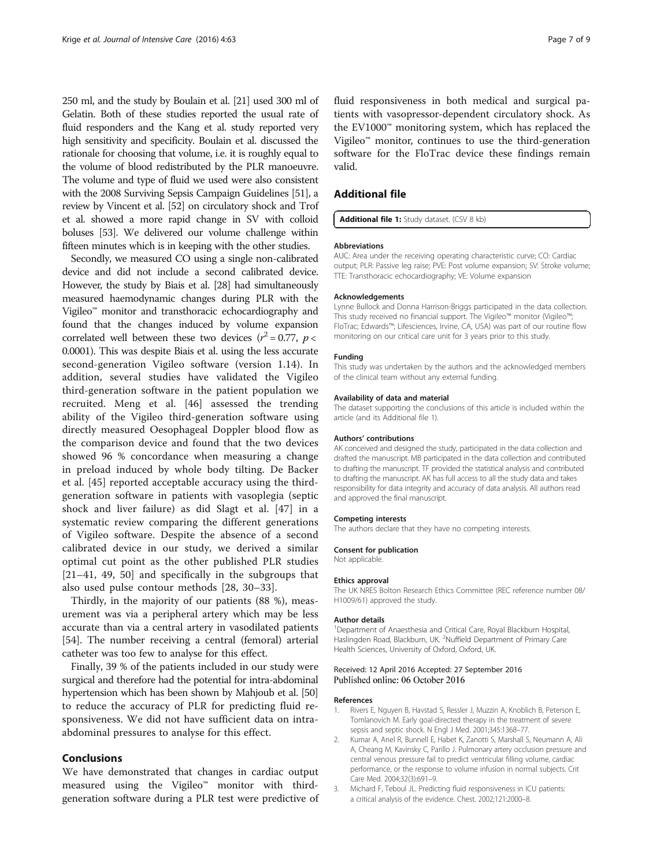<span id="page-6-0"></span>250 ml, and the study by Boulain et al. [[21](#page-7-0)] used 300 ml of Gelatin. Both of these studies reported the usual rate of fluid responders and the Kang et al. study reported very high sensitivity and specificity. Boulain et al. discussed the rationale for choosing that volume, i.e. it is roughly equal to the volume of blood redistributed by the PLR manoeuvre. The volume and type of fluid we used were also consistent with the 2008 Surviving Sepsis Campaign Guidelines [\[51](#page-8-0)], a review by Vincent et al. [\[52\]](#page-8-0) on circulatory shock and Trof et al. showed a more rapid change in SV with colloid boluses [\[53\]](#page-8-0). We delivered our volume challenge within fifteen minutes which is in keeping with the other studies.

Secondly, we measured CO using a single non-calibrated device and did not include a second calibrated device. However, the study by Biais et al. [\[28](#page-7-0)] had simultaneously measured haemodynamic changes during PLR with the Vigileo™ monitor and transthoracic echocardiography and found that the changes induced by volume expansion correlated well between these two devices ( $r^2 = 0.77$ ,  $p <$ 0.0001). This was despite Biais et al. using the less accurate second-generation Vigileo software (version 1.14). In addition, several studies have validated the Vigileo third-generation software in the patient population we recruited. Meng et al. [[46\]](#page-7-0) assessed the trending ability of the Vigileo third-generation software using directly measured Oesophageal Doppler blood flow as the comparison device and found that the two devices showed 96 % concordance when measuring a change in preload induced by whole body tilting. De Backer et al. [[45\]](#page-7-0) reported acceptable accuracy using the thirdgeneration software in patients with vasoplegia (septic shock and liver failure) as did Slagt et al. [[47](#page-7-0)] in a systematic review comparing the different generations of Vigileo software. Despite the absence of a second calibrated device in our study, we derived a similar optimal cut point as the other published PLR studies [[21](#page-7-0)–[41, 49, 50](#page-7-0)] and specifically in the subgroups that also used pulse contour methods [\[28](#page-7-0), [30](#page-7-0)–[33](#page-7-0)].

Thirdly, in the majority of our patients (88 %), measurement was via a peripheral artery which may be less accurate than via a central artery in vasodilated patients [[54\]](#page-8-0). The number receiving a central (femoral) arterial catheter was too few to analyse for this effect.

Finally, 39 % of the patients included in our study were surgical and therefore had the potential for intra-abdominal hypertension which has been shown by Mahjoub et al. [\[50](#page-7-0)] to reduce the accuracy of PLR for predicting fluid responsiveness. We did not have sufficient data on intraabdominal pressures to analyse for this effect.

#### Conclusions

We have demonstrated that changes in cardiac output measured using the Vigileo™ monitor with thirdgeneration software during a PLR test were predictive of

fluid responsiveness in both medical and surgical patients with vasopressor-dependent circulatory shock. As the EV1000™ monitoring system, which has replaced the Vigileo™ monitor, continues to use the third-generation software for the FloTrac device these findings remain valid.

# Additional file

[Additional file 1:](dx.doi.org/10.1186/s40560-016-0188-6) Study dataset. (CSV 8 kb)

#### Abbreviations

AUC: Area under the receiving operating characteristic curve; CO: Cardiac output; PLR: Passive leg raise; PVE: Post volume expansion; SV: Stroke volume; TTE: Transthoracic echocardiography; VE: Volume expansion

#### Acknowledgements

Lynne Bullock and Donna Harrison-Briggs participated in the data collection. This study received no financial support. The Vigileo™ monitor (Vigileo<sup>™</sup> FloTrac; Edwards™; Lifesciences, Irvine, CA, USA) was part of our routine flow monitoring on our critical care unit for 3 years prior to this study.

#### Funding

This study was undertaken by the authors and the acknowledged members of the clinical team without any external funding.

#### Availability of data and material

The dataset supporting the conclusions of this article is included within the article (and its Additional file 1).

#### Authors' contributions

AK conceived and designed the study, participated in the data collection and drafted the manuscript. MB participated in the data collection and contributed to drafting the manuscript. TF provided the statistical analysis and contributed to drafting the manuscript. AK has full access to all the study data and takes responsibility for data integrity and accuracy of data analysis. All authors read and approved the final manuscript.

#### Competing interests

The authors declare that they have no competing interests.

#### Consent for publication

Not applicable.

#### Ethics approval

The UK NRES Bolton Research Ethics Committee (REC reference number 08/ H1009/61) approved the study.

#### Author details

<sup>1</sup>Department of Anaesthesia and Critical Care, Royal Blackburn Hospital, Haslingden Road, Blackburn, UK. <sup>2</sup>Nuffield Department of Primary Care Health Sciences, University of Oxford, Oxford, UK.

#### Received: 12 April 2016 Accepted: 27 September 2016 Published online: 06 October 2016

#### References

- 1. Rivers E, Nguyen B, Havstad S, Ressler J, Muzzin A, Knoblich B, Peterson E, Tomlanovich M. Early goal-directed therapy in the treatment of severe sepsis and septic shock. N Engl J Med. 2001;345:1368–77.
- 2. Kumar A, Anel R, Bunnell E, Habet K, Zanotti S, Marshall S, Neumann A, Ali A, Cheang M, Kavinsky C, Parillo J. Pulmonary artery occlusion pressure and central venous pressure fail to predict ventricular filling volume, cardiac performance, or the response to volume infusion in normal subjects. Crit Care Med. 2004;32(3):691–9.
- 3. Michard F, Teboul JL. Predicting fluid responsiveness in ICU patients: a critical analysis of the evidence. Chest. 2002;121:2000–8.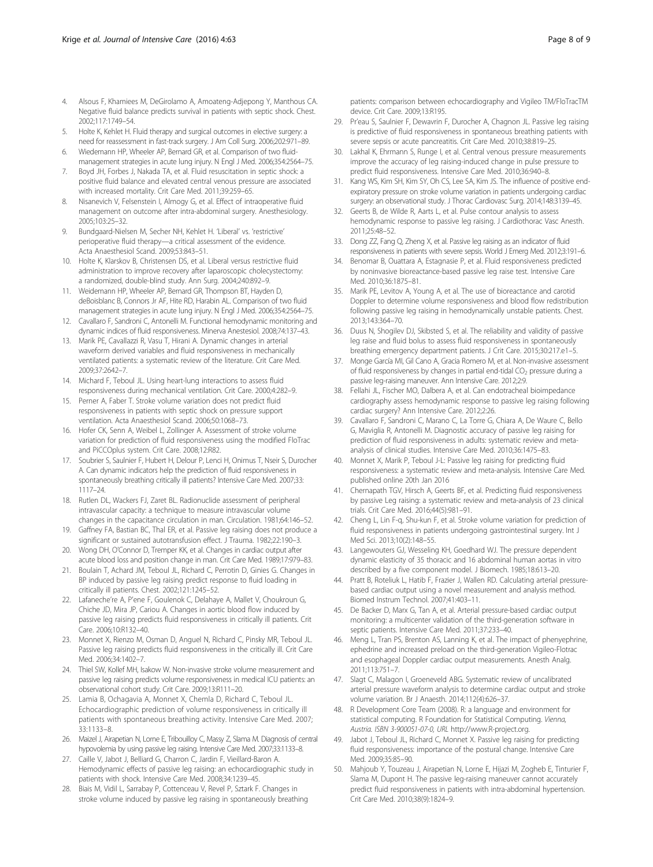- <span id="page-7-0"></span>4. Alsous F, Khamiees M, DeGirolamo A, Amoateng-Adjepong Y, Manthous CA. Negative fluid balance predicts survival in patients with septic shock. Chest. 2002;117:1749–54.
- 5. Holte K, Kehlet H. Fluid therapy and surgical outcomes in elective surgery: a need for reassessment in fast-track surgery. J Am Coll Surg. 2006;202:971–89.
- 6. Wiedemann HP, Wheeler AP, Bernard GR, et al. Comparison of two fluidmanagement strategies in acute lung injury. N Engl J Med. 2006;354:2564–75.
- 7. Boyd JH, Forbes J, Nakada TA, et al. Fluid resuscitation in septic shock: a positive fluid balance and elevated central venous pressure are associated with increased mortality. Crit Care Med. 2011;39:259–65.
- Nisanevich V, Felsenstein I, Almogy G, et al. Effect of intraoperative fluid management on outcome after intra-abdominal surgery. Anesthesiology. 2005;103:25–32.
- 9. Bundgaard-Nielsen M, Secher NH, Kehlet H. 'Liberal' vs. 'restrictive' perioperative fluid therapy—a critical assessment of the evidence. Acta Anaesthesiol Scand. 2009;53:843–51.
- 10. Holte K, Klarskov B, Christensen DS, et al. Liberal versus restrictive fluid administration to improve recovery after laparoscopic cholecystectomy: a randomized, double-blind study. Ann Surg. 2004;240:892–9.
- 11. Weidemann HP, Wheeler AP, Bernard GR, Thompson BT, Hayden D, deBoisblanc B, Connors Jr AF, Hite RD, Harabin AL. Comparison of two fluid management strategies in acute lung injury. N Engl J Med. 2006;354:2564–75.
- 12. Cavallaro F, Sandroni C, Antonelli M. Functional hemodynamic monitoring and dynamic indices of fluid responsiveness. Minerva Anestesiol. 2008;74:137–43.
- 13. Marik PE, Cavallazzi R, Vasu T, Hirani A. Dynamic changes in arterial waveform derived variables and fluid responsiveness in mechanically ventilated patients: a systematic review of the literature. Crit Care Med. 2009;37:2642–7.
- 14. Michard F, Teboul JL. Using heart-lung interactions to assess fluid responsiveness during mechanical ventilation. Crit Care. 2000;4:282–9.
- 15. Perner A, Faber T. Stroke volume variation does not predict fluid responsiveness in patients with septic shock on pressure support ventilation. Acta Anaesthesiol Scand. 2006;50:1068–73.
- 16. Hofer CK, Senn A, Weibel L, Zollinger A. Assessment of stroke volume variation for prediction of fluid responsiveness using the modified FloTrac and PiCCOplus system. Crit Care. 2008;12:R82.
- 17. Soubrier S, Saulnier F, Hubert H, Delour P, Lenci H, Onimus T, Nseir S, Durocher A. Can dynamic indicators help the prediction of fluid responsiveness in spontaneously breathing critically ill patients? Intensive Care Med. 2007;33: 1117–24.
- 18. Rutlen DL, Wackers FJ, Zaret BL. Radionuclide assessment of peripheral intravascular capacity: a technique to measure intravascular volume changes in the capacitance circulation in man. Circulation. 1981;64:146–52.
- 19. Gaffney FA, Bastian BC, Thal ER, et al. Passive leg raising does not produce a significant or sustained autotransfusion effect. J Trauma. 1982;22:190–3.
- 20. Wong DH, O'Connor D, Tremper KK, et al. Changes in cardiac output after acute blood loss and position change in man. Crit Care Med. 1989;17:979–83.
- 21. Boulain T, Achard JM, Teboul JL, Richard C, Perrotin D, Ginies G. Changes in BP induced by passive leg raising predict response to fluid loading in critically ill patients. Chest. 2002;121:1245–52.
- 22. Lafaneche're A, P'ene F, Goulenok C, Delahaye A, Mallet V, Choukroun G, Chiche JD, Mira JP, Cariou A. Changes in aortic blood flow induced by passive leg raising predicts fluid responsiveness in critically ill patients. Crit Care. 2006;10:R132–40.
- 23. Monnet X, Rienzo M, Osman D, Anguel N, Richard C, Pinsky MR, Teboul JL. Passive leg raising predicts fluid responsiveness in the critically ill. Crit Care Med. 2006;34:1402–7.
- 24. Thiel SW, Kollef MH, Isakow W. Non-invasive stroke volume measurement and passive leg raising predicts volume responsiveness in medical ICU patients: an observational cohort study. Crit Care. 2009;13:R111–20.
- 25. Lamia B, Ochagavia A, Monnet X, Chemla D, Richard C, Teboul JL. Echocardiographic prediction of volume responsiveness in critically ill patients with spontaneous breathing activity. Intensive Care Med. 2007; 33:1133–8.
- 26. Maizel J, Airapetian N, Lorne E, Tribouilloy C, Massy Z, Slama M. Diagnosis of central hypovolemia by using passive leg raising. Intensive Care Med. 2007;33:1133–8.
- 27. Caille V, Jabot J, Belliard G, Charron C, Jardin F, Vieillard-Baron A. Hemodynamic effects of passive leg raising: an echocardiographic study in patients with shock. Intensive Care Med. 2008;34:1239–45.
- 28. Biais M, Vidil L, Sarrabay P, Cottenceau V, Revel P, Sztark F. Changes in stroke volume induced by passive leg raising in spontaneously breathing

patients: comparison between echocardiography and Vigileo TM/FloTracTM device. Crit Care. 2009;13:R195.

- 29. Pr'eau S, Saulnier F, Dewavrin F, Durocher A, Chagnon JL. Passive leg raising is predictive of fluid responsiveness in spontaneous breathing patients with severe sepsis or acute pancreatitis. Crit Care Med. 2010;38:819–25.
- 30. Lakhal K, Ehrmann S, Runge I, et al. Central venous pressure measurements improve the accuracy of leg raising-induced change in pulse pressure to predict fluid responsiveness. Intensive Care Med. 2010;36:940–8.
- 31. Kang WS, Kim SH, Kim SY, Oh CS, Lee SA, Kim JS. The influence of positive endexpiratory pressure on stroke volume variation in patients undergoing cardiac surgery: an observational study. J Thorac Cardiovasc Surg. 2014;148:3139–45.
- 32. Geerts B, de Wilde R, Aarts L, et al. Pulse contour analysis to assess hemodynamic response to passive leg raising. J Cardiothorac Vasc Anesth. 2011;25:48–52.
- 33. Dong ZZ, Fang Q, Zheng X, et al. Passive leg raising as an indicator of fluid responsiveness in patients with severe sepsis. World J Emerg Med. 2012;3:191–6.
- 34. Benomar B, Ouattara A, Estagnasie P, et al. Fluid responsiveness predicted by noninvasive bioreactance-based passive leg raise test. Intensive Care Med. 2010;36:1875–81.
- 35. Marik PE, Levitov A, Young A, et al. The use of bioreactance and carotid Doppler to determine volume responsiveness and blood flow redistribution following passive leg raising in hemodynamically unstable patients. Chest. 2013;143:364–70.
- 36. Duus N, Shogilev DJ, Skibsted S, et al. The reliability and validity of passive leg raise and fluid bolus to assess fluid responsiveness in spontaneously breathing emergency department patients. J Crit Care. 2015;30:217.e1–5.
- 37. Monge García MI, Gil Cano A, Gracia Romero M, et al. Non-invasive assessment of fluid responsiveness by changes in partial end-tidal  $CO<sub>2</sub>$  pressure during a passive leg-raising maneuver. Ann Intensive Care. 2012;2:9.
- 38. Fellahi JL, Fischer MO, Dalbera A, et al. Can endotracheal bioimpedance cardiography assess hemodynamic response to passive leg raising following cardiac surgery? Ann Intensive Care. 2012;2:26.
- 39. Cavallaro F, Sandroni C, Marano C, La Torre G, Chiara A, De Waure C, Bello G, Maviglia R, Antonelli M. Diagnostic accuracy of passive leg raising for prediction of fluid responsiveness in adults: systematic review and metaanalysis of clinical studies. Intensive Care Med. 2010;36:1475–83.
- 40. Monnet X, Marik P, Teboul J-L: Passive leg raising for predicting fluid responsiveness: a systematic review and meta-analysis. Intensive Care Med. published online 20th Jan 2016
- 41. Chernapath TGV, Hirsch A, Geerts BF, et al. Predicting fluid responsiveness by passive Leg raising: a systematic review and meta-analysis of 23 clinical trials. Crit Care Med. 2016;44(5):981–91.
- 42. Cheng L, Lin F-q, Shu-kun F, et al. Stroke volume variation for prediction of fluid responsiveness in patients undergoing gastrointestinal surgery. Int J Med Sci. 2013;10(2):148–55.
- 43. Langewouters GJ, Wesseling KH, Goedhard WJ. The pressure dependent dynamic elasticity of 35 thoracic and 16 abdominal human aortas in vitro described by a five component model. J Biomech. 1985;18:613–20.
- 44. Pratt B, Roteliuk L, Hatib F, Frazier J, Wallen RD. Calculating arterial pressurebased cardiac output using a novel measurement and analysis method. Biomed Instrum Technol. 2007;41:403–11.
- 45. De Backer D, Marx G, Tan A, et al. Arterial pressure-based cardiac output monitoring: a multicenter validation of the third-generation software in septic patients. Intensive Care Med. 2011;37:233–40.
- 46. Meng L, Tran PS, Brenton AS, Lanning K, et al. The impact of phenyephrine, ephedrine and increased preload on the third-generation Vigileo-Flotrac and esophageal Doppler cardiac output measurements. Anesth Analg. 2011;113:751–7.
- 47. Slagt C, Malagon I, Groeneveld ABG. Systematic review of uncalibrated arterial pressure waveform analysis to determine cardiac output and stroke volume variation. Br J Anaesth. 2014;112(4):626–37.
- 48. R Development Core Team (2008). R: a language and environment for statistical computing. R Foundation for Statistical Computing. Vienna, Austria. ISBN 3-900051-07-0, URL [http://www.R-project.org](http://www.r-project.org/).
- 49. Jabot J, Teboul JL, Richard C, Monnet X. Passive leg raising for predicting fluid responsiveness: importance of the postural change. Intensive Care Med. 2009;35:85–90.
- 50. Mahjoub Y, Touzeau J, Airapetian N, Lorne E, Hijazi M, Zogheb E, Tinturier F, Slama M, Dupont H. The passive leg-raising maneuver cannot accurately predict fluid responsiveness in patients with intra-abdominal hypertension. Crit Care Med. 2010;38(9):1824–9.